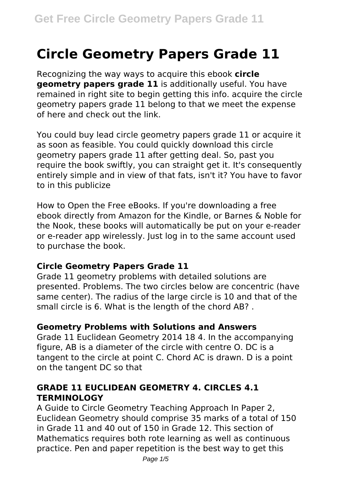# **Circle Geometry Papers Grade 11**

Recognizing the way ways to acquire this ebook **circle geometry papers grade 11** is additionally useful. You have remained in right site to begin getting this info. acquire the circle geometry papers grade 11 belong to that we meet the expense of here and check out the link.

You could buy lead circle geometry papers grade 11 or acquire it as soon as feasible. You could quickly download this circle geometry papers grade 11 after getting deal. So, past you require the book swiftly, you can straight get it. It's consequently entirely simple and in view of that fats, isn't it? You have to favor to in this publicize

How to Open the Free eBooks. If you're downloading a free ebook directly from Amazon for the Kindle, or Barnes & Noble for the Nook, these books will automatically be put on your e-reader or e-reader app wirelessly. Just log in to the same account used to purchase the book.

# **Circle Geometry Papers Grade 11**

Grade 11 geometry problems with detailed solutions are presented. Problems. The two circles below are concentric (have same center). The radius of the large circle is 10 and that of the small circle is 6. What is the length of the chord AB? .

#### **Geometry Problems with Solutions and Answers**

Grade 11 Euclidean Geometry 2014 18 4. In the accompanying figure, AB is a diameter of the circle with centre O. DC is a tangent to the circle at point C. Chord AC is drawn. D is a point on the tangent DC so that

# **GRADE 11 EUCLIDEAN GEOMETRY 4. CIRCLES 4.1 TERMINOLOGY**

A Guide to Circle Geometry Teaching Approach In Paper 2, Euclidean Geometry should comprise 35 marks of a total of 150 in Grade 11 and 40 out of 150 in Grade 12. This section of Mathematics requires both rote learning as well as continuous practice. Pen and paper repetition is the best way to get this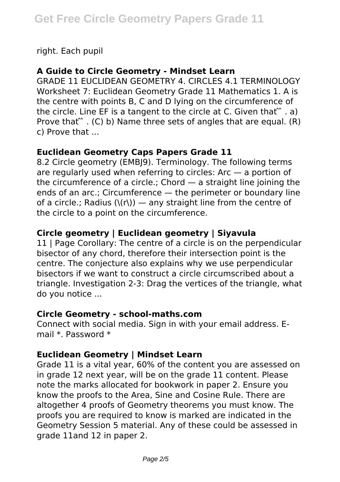right. Each pupil

#### **A Guide to Circle Geometry - Mindset Learn**

GRADE 11 EUCLIDEAN GEOMETRY 4. CIRCLES 4.1 TERMINOLOGY Worksheet 7: Euclidean Geometry Grade 11 Mathematics 1. A is the centre with points B, C and D lying on the circumference of the circle. Line EF is a tangent to the circle at C. Given that  $\hat{ }$   $\ldots$  a) Prove that  $\hat{C}$  . (C) b) Name three sets of angles that are equal. (R) c) Prove that ...

## **Euclidean Geometry Caps Papers Grade 11**

8.2 Circle geometry (EMBJ9). Terminology. The following terms are regularly used when referring to circles: Arc — a portion of the circumference of a circle.; Chord — a straight line joining the ends of an arc.; Circumference — the perimeter or boundary line of a circle.; Radius  $(\langle r \rangle)$  — any straight line from the centre of the circle to a point on the circumference.

# **Circle geometry | Euclidean geometry | Siyavula**

11 | Page Corollary: The centre of a circle is on the perpendicular bisector of any chord, therefore their intersection point is the centre. The conjecture also explains why we use perpendicular bisectors if we want to construct a circle circumscribed about a triangle. Investigation 2-3: Drag the vertices of the triangle, what do you notice ...

#### **Circle Geometry - school-maths.com**

Connect with social media. Sign in with your email address. Email \*. Password \*

# **Euclidean Geometry | Mindset Learn**

Grade 11 is a vital year, 60% of the content you are assessed on in grade 12 next year, will be on the grade 11 content. Please note the marks allocated for bookwork in paper 2. Ensure you know the proofs to the Area, Sine and Cosine Rule. There are altogether 4 proofs of Geometry theorems you must know. The proofs you are required to know is marked are indicated in the Geometry Session 5 material. Any of these could be assessed in grade 11and 12 in paper 2.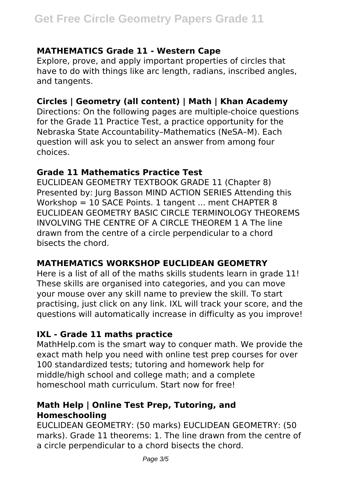## **MATHEMATICS Grade 11 - Western Cape**

Explore, prove, and apply important properties of circles that have to do with things like arc length, radians, inscribed angles, and tangents.

## **Circles | Geometry (all content) | Math | Khan Academy**

Directions: On the following pages are multiple-choice questions for the Grade 11 Practice Test, a practice opportunity for the Nebraska State Accountability–Mathematics (NeSA–M). Each question will ask you to select an answer from among four choices.

#### **Grade 11 Mathematics Practice Test**

EUCLIDEAN GEOMETRY TEXTBOOK GRADE 11 (Chapter 8) Presented by: Jurg Basson MIND ACTION SERIES Attending this Workshop = 10 SACE Points. 1 tangent ... ment CHAPTER 8 EUCLIDEAN GEOMETRY BASIC CIRCLE TERMINOLOGY THEOREMS INVOLVING THE CENTRE OF A CIRCLE THEOREM 1 A The line drawn from the centre of a circle perpendicular to a chord bisects the chord.

# **MATHEMATICS WORKSHOP EUCLIDEAN GEOMETRY**

Here is a list of all of the maths skills students learn in grade 11! These skills are organised into categories, and you can move your mouse over any skill name to preview the skill. To start practising, just click on any link. IXL will track your score, and the questions will automatically increase in difficulty as you improve!

# **IXL - Grade 11 maths practice**

MathHelp.com is the smart way to conquer math. We provide the exact math help you need with online test prep courses for over 100 standardized tests; tutoring and homework help for middle/high school and college math; and a complete homeschool math curriculum. Start now for free!

## **Math Help | Online Test Prep, Tutoring, and Homeschooling**

EUCLIDEAN GEOMETRY: (50 marks) EUCLIDEAN GEOMETRY: (50 marks). Grade 11 theorems: 1. The line drawn from the centre of a circle perpendicular to a chord bisects the chord.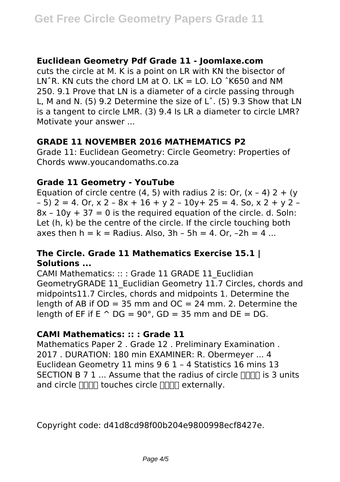## **Euclidean Geometry Pdf Grade 11 - Joomlaxe.com**

cuts the circle at M. K is a point on LR with KN the bisector of LN $\hat{R}$ . KN cuts the chord LM at O. LK = LO. LO  $\hat{R}$ K650 and NM 250. 9.1 Prove that LN is a diameter of a circle passing through L, M and N. (5) 9.2 Determine the size of Lˆ. (5) 9.3 Show that LN is a tangent to circle LMR. (3) 9.4 Is LR a diameter to circle LMR? Motivate your answer ...

## **GRADE 11 NOVEMBER 2016 MATHEMATICS P2**

Grade 11: Euclidean Geometry: Circle Geometry: Properties of Chords www.youcandomaths.co.za

## **Grade 11 Geometry - YouTube**

Equation of circle centre (4, 5) with radius 2 is: Or,  $(x - 4)$  2 + (y  $-$  5) 2 = 4. Or, x 2 - 8x + 16 + y 2 - 10y + 25 = 4. So, x 2 + y 2 - $8x - 10y + 37 = 0$  is the required equation of the circle, d. Soln: Let (h, k) be the centre of the circle. If the circle touching both axes then  $h = k =$  Radius. Also,  $3h - 5h = 4$ . Or,  $-2h = 4$ ...

# **The Circle. Grade 11 Mathematics Exercise 15.1 | Solutions ...**

CAMI Mathematics: :: : Grade 11 GRADE 11\_Euclidian GeometryGRADE 11\_Euclidian Geometry 11.7 Circles, chords and midpoints11.7 Circles, chords and midpoints 1. Determine the length of AB if  $OD = 35$  mm and  $OC = 24$  mm. 2. Determine the length of EF if  $E \cap DG = 90^\circ$ ,  $GD = 35$  mm and  $DE = DG$ .

# **CAMI Mathematics: :: : Grade 11**

Mathematics Paper 2 . Grade 12 . Preliminary Examination . 2017 . DURATION: 180 min EXAMINER: R. Obermeyer ... 4 Euclidean Geometry 11 mins 9 6 1 – 4 Statistics 16 mins 13 SECTION B 7 1  $\ldots$  Assume that the radius of circle  $\Box$  is 3 units and circle  $\Box\Box\Box$  touches circle  $\Box\Box\Box$  externally.

Copyright code: d41d8cd98f00b204e9800998ecf8427e.